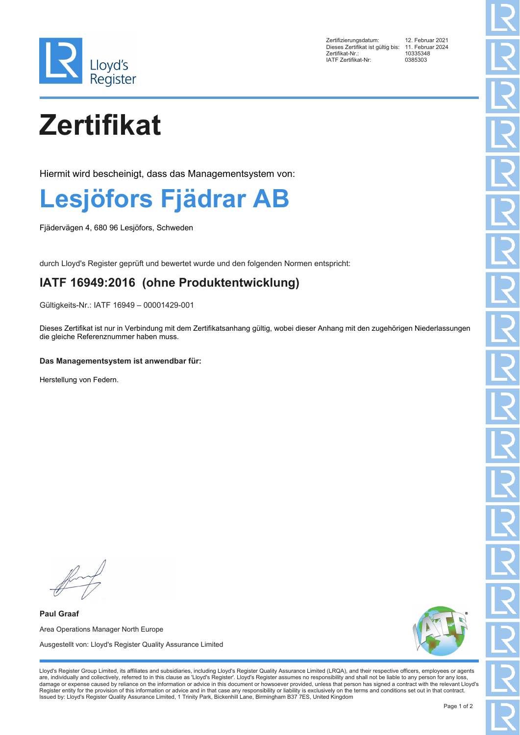

Zertifizierungsdatum: 12. Februar 2021 Dieses Zertifikat ist gültig bis: 11. Februar 2024 Zertifikat-Nr.: 10335348 IATF Zertifikat-Nr:

# **Zertifikat**

Hiermit wird bescheinigt, dass das Managementsystem von:

### **Lesjöfors Fjädrar AB**

Fjädervägen 4, 680 96 Lesjöfors, Schweden

durch Lloyd's Register geprüft und bewertet wurde und den folgenden Normen entspricht:

### **IATF 16949:2016 (ohne Produktentwicklung)**

Gültigkeits-Nr.: IATF 16949 – 00001429-001

Dieses Zertifikat ist nur in Verbindung mit dem Zertifikatsanhang gültig, wobei dieser Anhang mit den zugehörigen Niederlassungen die gleiche Referenznummer haben muss.

#### **Das Managementsystem ist anwendbar für:**

Herstellung von Federn.

**Paul Graaf** Area Operations Manager North Europe Ausgestellt von: Lloyd's Register Quality Assurance Limited



Lloyd's Register Group Limited, its affiliates and subsidiaries, including Lloyd's Register Quality Assurance Limited (LRQA), and their respective officers, employees or agents are, individually and collectively, referred to in this clause as 'Lloyd's Register'. Lloyd's Register assumes no responsibility and shall not be liable to any person for any loss,<br>damage or expense caused by reliance on t Register entity for the provision of this information or advice and in that case any responsibility or liability is exclusively on the terms and conditions set out in that contract. Issued by: Lloyd's Register Quality Assurance Limited, 1 Trinity Park, Bickenhill Lane, Birmingham B37 7ES, United Kingdom